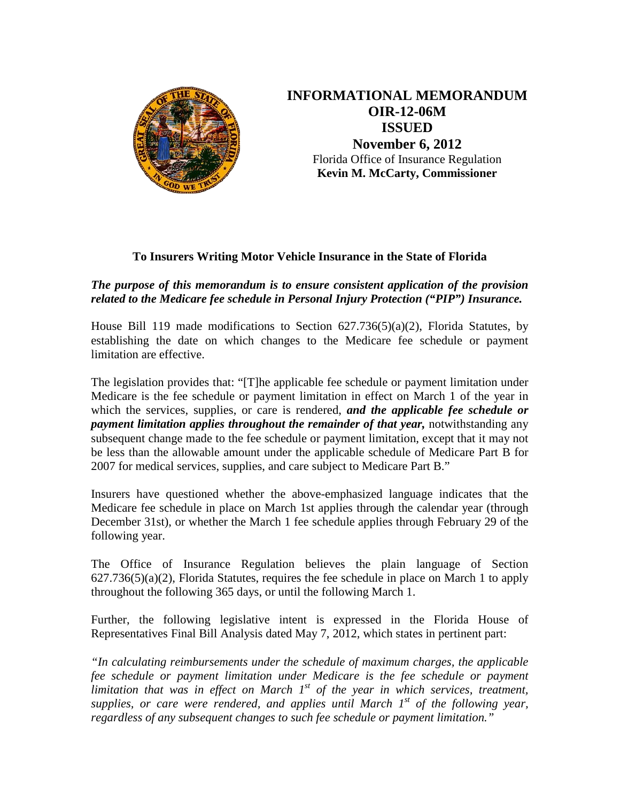

**INFORMATIONAL MEMORANDUM OIR-12-06M ISSUED November 6, 2012** Florida Office of Insurance Regulation **Kevin M. McCarty, Commissioner** 

## **To Insurers Writing Motor Vehicle Insurance in the State of Florida**

## *The purpose of this memorandum is to ensure consistent application of the provision related to the Medicare fee schedule in Personal Injury Protection ("PIP") Insurance.*

House Bill 119 made modifications to Section  $627.736(5)(a)(2)$ , Florida Statutes, by establishing the date on which changes to the Medicare fee schedule or payment limitation are effective.

The legislation provides that: "[T]he applicable fee schedule or payment limitation under Medicare is the fee schedule or payment limitation in effect on March 1 of the year in which the services, supplies, or care is rendered, *and the applicable fee schedule or payment limitation applies throughout the remainder of that year, notwithstanding any* subsequent change made to the fee schedule or payment limitation, except that it may not be less than the allowable amount under the applicable schedule of Medicare Part B for 2007 for medical services, supplies, and care subject to Medicare Part B."

Insurers have questioned whether the above-emphasized language indicates that the Medicare fee schedule in place on March 1st applies through the calendar year (through December 31st), or whether the March 1 fee schedule applies through February 29 of the following year.

The Office of Insurance Regulation believes the plain language of Section 627.736(5)(a)(2), Florida Statutes, requires the fee schedule in place on March 1 to apply throughout the following 365 days, or until the following March 1.

Further, the following legislative intent is expressed in the Florida House of Representatives Final Bill Analysis dated May 7, 2012, which states in pertinent part:

*"In calculating reimbursements under the schedule of maximum charges, the applicable fee schedule or payment limitation under Medicare is the fee schedule or payment limitation that was in effect on March 1st of the year in which services, treatment, supplies, or care were rendered, and applies until March 1st of the following year, regardless of any subsequent changes to such fee schedule or payment limitation."*